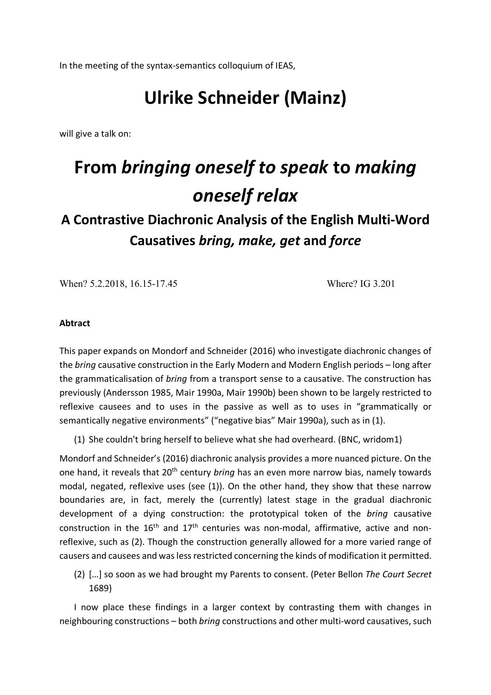In the meeting of the syntax-semantics colloquium of IEAS,

## **Ulrike Schneider (Mainz)**

will give a talk on:

## **From** *bringing oneself to speak* **to** *making oneself relax*

## **A Contrastive Diachronic Analysis of the English Multi-Word Causatives** *bring, make, get* **and** *force*

When? 5.2.2018, 16.15-17.45 Where? IG 3.201

## **Abtract**

This paper expands on Mondorf and Schneider (2016) who investigate diachronic changes of the *bring* causative construction in the Early Modern and Modern English periods – long after the grammaticalisation of *bring* from a transport sense to a causative. The construction has previously (Andersson 1985, Mair 1990a, Mair 1990b) been shown to be largely restricted to reflexive causees and to uses in the passive as well as to uses in "grammatically or semantically negative environments" ("negative bias" Mair 1990a), such as in (1).

(1) She couldn't bring herself to believe what she had overheard. (BNC, wridom1)

Mondorf and Schneider's (2016) diachronic analysis provides a more nuanced picture. On the one hand, it reveals that 20th century *bring* has an even more narrow bias, namely towards modal, negated, reflexive uses (see (1)). On the other hand, they show that these narrow boundaries are, in fact, merely the (currently) latest stage in the gradual diachronic development of a dying construction: the prototypical token of the *bring* causative construction in the  $16<sup>th</sup>$  and  $17<sup>th</sup>$  centuries was non-modal, affirmative, active and nonreflexive, such as (2). Though the construction generally allowed for a more varied range of causers and causees and was less restricted concerning the kinds of modification it permitted.

(2) […] so soon as we had brought my Parents to consent. (Peter Bellon *The Court Secret* 1689)

I now place these findings in a larger context by contrasting them with changes in neighbouring constructions – both *bring* constructions and other multi-word causatives, such